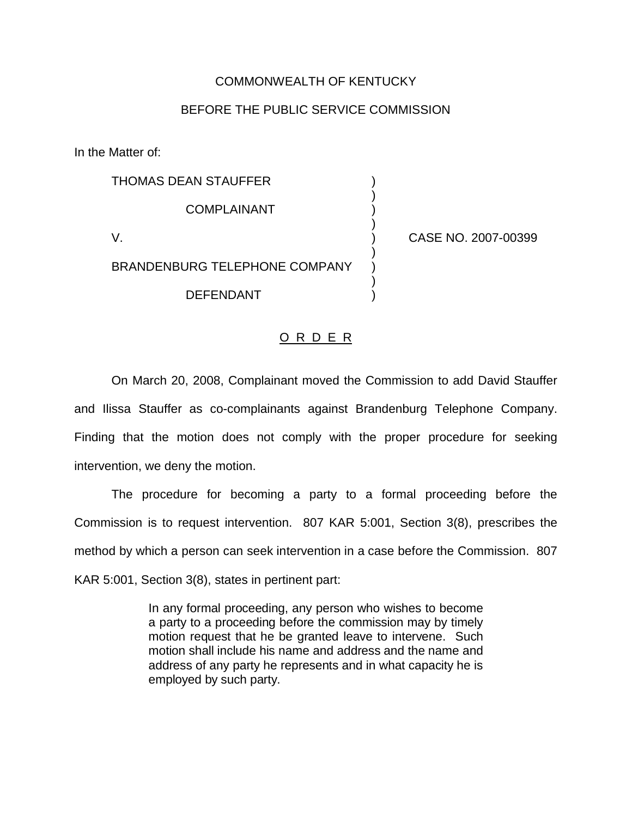## COMMONWEALTH OF KENTUCKY

## BEFORE THE PUBLIC SERVICE COMMISSION

In the Matter of:

THOMAS DEAN STAUFFER ) ) **COMPLAINANT** ) V. ) CASE NO. 2007-00399 ) BRANDENBURG TELEPHONE COMPANY ) DEFENDANT )

## O R D E R

On March 20, 2008, Complainant moved the Commission to add David Stauffer and Ilissa Stauffer as co-complainants against Brandenburg Telephone Company. Finding that the motion does not comply with the proper procedure for seeking intervention, we deny the motion.

The procedure for becoming a party to a formal proceeding before the Commission is to request intervention. 807 KAR 5:001, Section 3(8), prescribes the method by which a person can seek intervention in a case before the Commission. 807 KAR 5:001, Section 3(8), states in pertinent part:

> In any formal proceeding, any person who wishes to become a party to a proceeding before the commission may by timely motion request that he be granted leave to intervene. Such motion shall include his name and address and the name and address of any party he represents and in what capacity he is employed by such party.